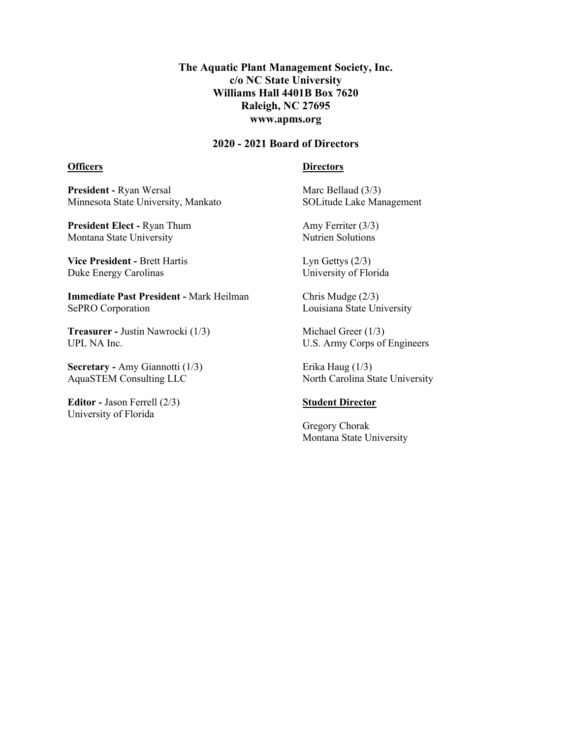## **The Aquatic Plant Management Society, Inc. c/o NC State University Williams Hall 4401B Box 7620 Raleigh, NC 27695 www.apms.org**

## **2020 - 2021 Board of Directors**

## **Officers**

#### **Directors**

**President -** Ryan Wersal Minnesota State University, Mankato

**President Elect -** Ryan Thum Montana State University

**Vice President -** Brett Hartis Duke Energy Carolinas

**Immediate Past President -** Mark Heilman SePRO Corporation

**Treasurer -** Justin Nawrocki (1/3) UPL NA Inc.

**Secretary -** Amy Giannotti (1/3) AquaSTEM Consulting LLC

**Editor -** Jason Ferrell (2/3) University of Florida

Marc Bellaud (3/3) SOLitude Lake Management

Amy Ferriter (3/3) Nutrien Solutions

Lyn Gettys (2/3) University of Florida

Chris Mudge (2/3) Louisiana State University

Michael Greer (1/3) U.S. Army Corps of Engineers

Erika Haug (1/3) North Carolina State University

### **Student Director**

Gregory Chorak Montana State University